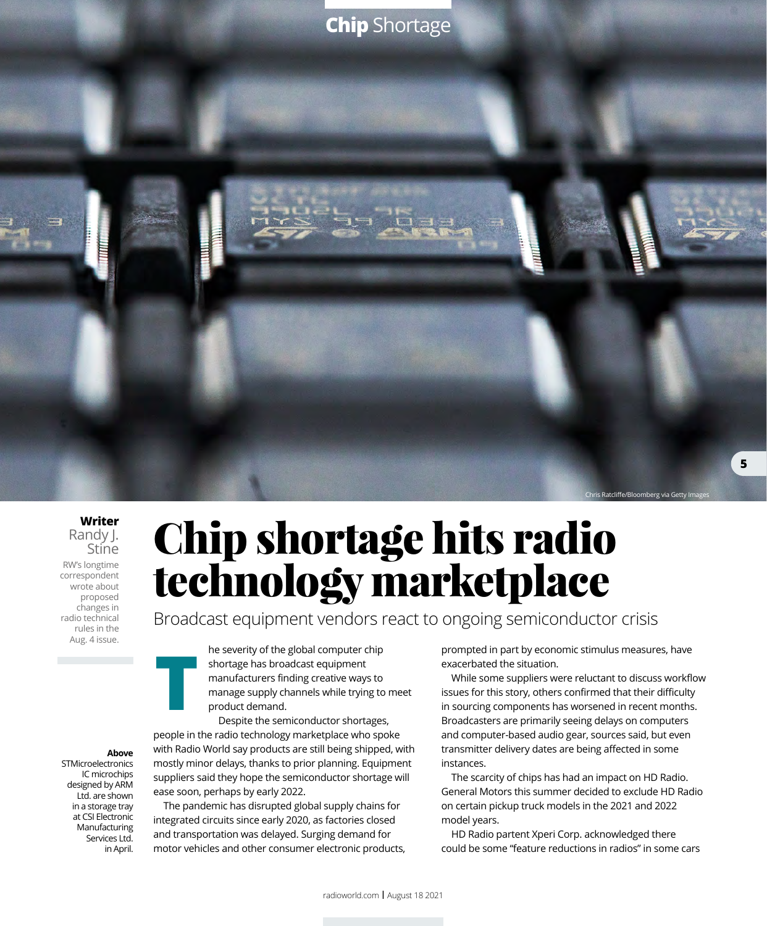

**Writer** Randy J. Stine RW's longtime correspondent wrote about proposed changes in radio technical rules in the Aug. 4 issue.

Chip shortage hits radio technology marketplace

Broadcast equipment vendors react to ongoing semiconductor crisis

he severity of the global computer chip shortage has broadcast equipment manufacturers finding creative ways to manage supply channels while trying to meet product demand.

**T** Despite the semiconductor shortages, people in the radio technology marketplace who spoke with Radio World say products are still being shipped, with mostly minor delays, thanks to prior planning. Equipment suppliers said they hope the semiconductor shortage will ease soon, perhaps by early 2022.

The pandemic has disrupted global supply chains for integrated circuits since early 2020, as factories closed and transportation was delayed. Surging demand for motor vehicles and other consumer electronic products, prompted in part by economic stimulus measures, have exacerbated the situation.

While some suppliers were reluctant to discuss workflow issues for this story, others confirmed that their difficulty in sourcing components has worsened in recent months. Broadcasters are primarily seeing delays on computers and computer-based audio gear, sources said, but even transmitter delivery dates are being affected in some instances.

The scarcity of chips has had an impact on HD Radio. General Motors this summer decided to exclude HD Radio on certain pickup truck models in the 2021 and 2022 model years.

HD Radio partent Xperi Corp. acknowledged there could be some "feature reductions in radios" in some cars

## **Above**

**STMicroelectronics** IC microchips designed by ARM Ltd. are shown in a storage tray at CSI Electronic Manufacturing Services Ltd. in April.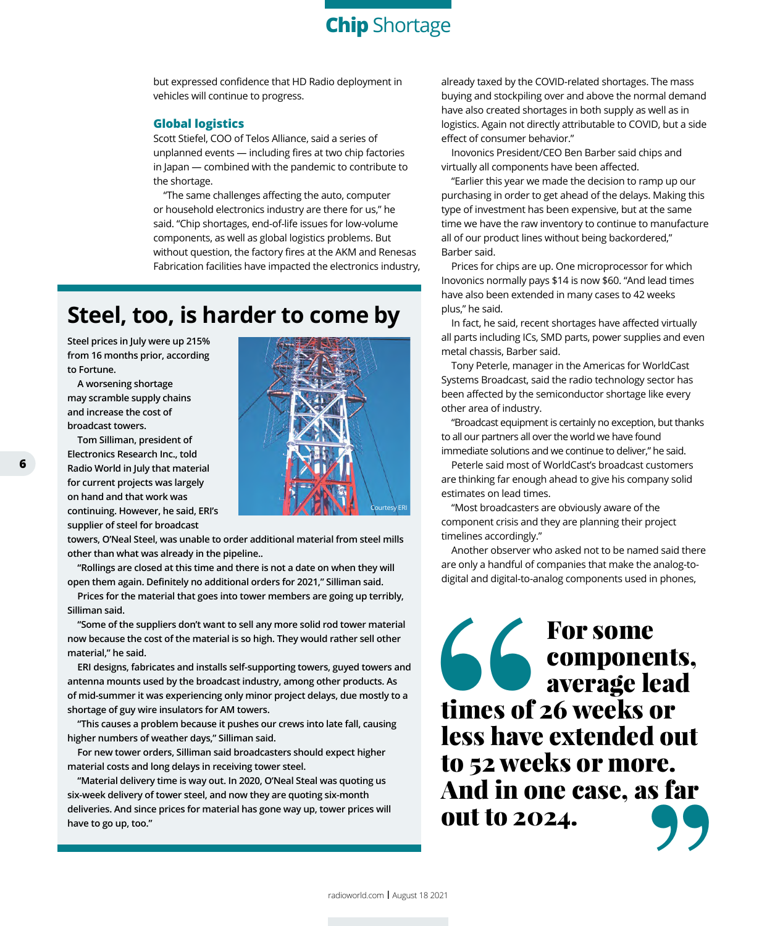**Chip** Shortage

but expressed confidence that HD Radio deployment in vehicles will continue to progress.

## **Global logistics**

Scott Stiefel, COO of Telos Alliance, said a series of unplanned events — including fires at two chip factories in Japan — combined with the pandemic to contribute to the shortage.

"The same challenges affecting the auto, computer or household electronics industry are there for us," he said. "Chip shortages, end-of-life issues for low-volume components, as well as global logistics problems. But without question, the factory fires at the AKM and Renesas Fabrication facilities have impacted the electronics industry,

## **Steel, too, is harder to come by**

**Steel prices in July were up 215% from 16 months prior, according to Fortune.**

**A worsening shortage may scramble supply chains and increase the cost of broadcast towers.** 

**Tom Silliman, president of Electronics Research Inc., told Radio World in July that material for current projects was largely on hand and that work was continuing. However, he said, ERI's** 

**supplier of steel for broadcast towers, O'Neal Steel, was unable to order additional material from steel mills other than what was already in the pipeline..**

**"Rollings are closed at this time and there is not a date on when they will open them again. Definitely no additional orders for 2021," Silliman said.** 

**Prices for the material that goes into tower members are going up terribly, Silliman said.**

**"Some of the suppliers don't want to sell any more solid rod tower material now because the cost of the material is so high. They would rather sell other material," he said.**

**ERI designs, fabricates and installs self-supporting towers, guyed towers and antenna mounts used by the broadcast industry, among other products. As of mid-summer it was experiencing only minor project delays, due mostly to a shortage of guy wire insulators for AM towers.**

**"This causes a problem because it pushes our crews into late fall, causing higher numbers of weather days," Silliman said.**

**For new tower orders, Silliman said broadcasters should expect higher material costs and long delays in receiving tower steel.**

**"Material delivery time is way out. In 2020, O'Neal Steal was quoting us six-week delivery of tower steel, and now they are quoting six-month deliveries. And since prices for material has gone way up, tower prices will have to go up, too."**

already taxed by the COVID-related shortages. The mass buying and stockpiling over and above the normal demand have also created shortages in both supply as well as in logistics. Again not directly attributable to COVID, but a side effect of consumer behavior."

Inovonics President/CEO Ben Barber said chips and virtually all components have been affected.

"Earlier this year we made the decision to ramp up our purchasing in order to get ahead of the delays. Making this type of investment has been expensive, but at the same time we have the raw inventory to continue to manufacture all of our product lines without being backordered," Barber said.

Prices for chips are up. One microprocessor for which Inovonics normally pays \$14 is now \$60. "And lead times have also been extended in many cases to 42 weeks plus," he said.

In fact, he said, recent shortages have affected virtually all parts including ICs, SMD parts, power supplies and even metal chassis, Barber said.

Tony Peterle, manager in the Americas for WorldCast Systems Broadcast, said the radio technology sector has been affected by the semiconductor shortage like every other area of industry.

"Broadcast equipment is certainly no exception, but thanks to all our partners all over the world we have found immediate solutions and we continue to deliver," he said.

Peterle said most of WorldCast's broadcast customers are thinking far enough ahead to give his company solid estimates on lead times.

"Most broadcasters are obviously aware of the component crisis and they are planning their project timelines accordingly."

Another observer who asked not to be named said there are only a handful of companies that make the analog-todigital and digital-to-analog components used in phones,

times of 2<br>
times of 2<br>
less have<br>
to 52 wee<br>
And in or<br>
out to 202 For some components, average lead times of 26 weeks or less have extended out to 52 weeks or more. And in one case, as far Alla III one case, as far<br>out to 2024.